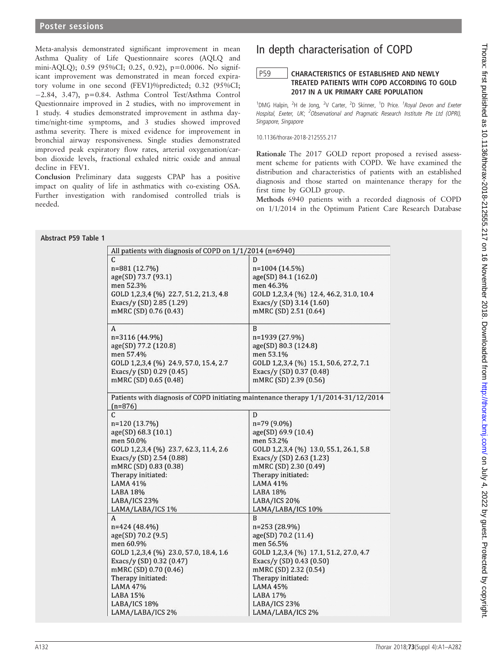Meta-analysis demonstrated significant improvement in mean Asthma Quality of Life Questionnaire scores (AQLQ and mini-AQLQ); 0.59 (95%CI; 0.25, 0.92), p=0.0006. No significant improvement was demonstrated in mean forced expiratory volume in one second (FEV1)%predicted; 0.32 (95%CI;  $-2.84$ , 3.47), p=0.84. Asthma Control Test/Asthma Control Questionnaire improved in 2 studies, with no improvement in 1 study. 4 studies demonstrated improvement in asthma daytime/night-time symptoms, and 3 studies showed improved asthma severity. There is mixed evidence for improvement in bronchial airway responsiveness. Single studies demonstrated improved peak expiratory flow rates, arterial oxygenation/carbon dioxide levels, fractional exhaled nitric oxide and annual decline in FEV1.

Conclusion Preliminary data suggests CPAP has a positive impact on quality of life in asthmatics with co-existing OSA. Further investigation with randomised controlled trials is needed.

## In depth characterisation of COPD

## P59 | CHARACTERISTICS OF ESTABLISHED AND NEWLY TREATED PATIENTS WITH COPD ACCORDING TO GOLD 2017 IN A UK PRIMARY CARE POPULATION

<sup>1</sup>DMG Halpin, <sup>2</sup>H de Jong, <sup>2</sup>V Carter, <sup>2</sup>D Skinner, <sup>1</sup>D Price. <sup>1</sup>Royal Devon and Exeter Hospital, Exeter, UK; <sup>2</sup>Observational and Pragmatic Research Institute Pte Ltd (OPRI), Singapore, Singapore

10.1136/thorax-2018-212555.217

Rationale The 2017 GOLD report proposed a revised assessment scheme for patients with COPD. We have examined the distribution and characteristics of patients with an established diagnosis and those started on maintenance therapy for the first time by GOLD group.

Methods 6940 patients with a recorded diagnosis of COPD on 1/1/2014 in the Optimum Patient Care Research Database

| All patients with diagnosis of COPD on $1/1/2014$ (n=6940) |                                                                                                          |  |  |  |
|------------------------------------------------------------|----------------------------------------------------------------------------------------------------------|--|--|--|
| C                                                          | D                                                                                                        |  |  |  |
| n=881 (12.7%)                                              | n=1004 (14.5%)                                                                                           |  |  |  |
| age(SD) 73.7 (93.1)                                        | age(SD) 84.1 (162.0)<br>men 46.3%<br>GOLD 1,2,3,4 (%) 12.4, 46.2, 31.0, 10.4<br>Exacs/y (SD) 3.14 (1.60) |  |  |  |
| men 52.3%                                                  |                                                                                                          |  |  |  |
| GOLD 1,2,3,4 (%) 22.7, 51.2, 21.3, 4.8                     |                                                                                                          |  |  |  |
| Exacs/y (SD) 2.85 (1.29)                                   |                                                                                                          |  |  |  |
| mMRC (SD) 0.76 (0.43)                                      | mMRC (SD) 2.51 (0.64)                                                                                    |  |  |  |
| A                                                          | B                                                                                                        |  |  |  |
| n=3116 (44.9%)                                             | n=1939 (27.9%)                                                                                           |  |  |  |
| age(SD) 77.2 (120.8)                                       | age(SD) 80.3 (124.8)                                                                                     |  |  |  |
| men 57.4%                                                  | men 53.1%                                                                                                |  |  |  |
| GOLD 1,2,3,4 (%) 24.9, 57.0, 15.4, 2.7                     | GOLD 1,2,3,4 (%) 15.1, 50.6, 27.2, 7.1                                                                   |  |  |  |
| Exacs/y (SD) 0.29 (0.45)                                   | Exacs/y (SD) 0.37 (0.48)                                                                                 |  |  |  |
| mMRC (SD) 0.65 (0.48)                                      | mMRC (SD) 2.39 (0.56)                                                                                    |  |  |  |
|                                                            |                                                                                                          |  |  |  |
|                                                            | Patients with diagnosis of COPD initiating maintenance therapy 1/1/2014-31/12/2014                       |  |  |  |
| $(n=876)$                                                  |                                                                                                          |  |  |  |
| C                                                          | D                                                                                                        |  |  |  |
| n=120 (13.7%)                                              | n=79 (9.0%)                                                                                              |  |  |  |
| age(SD) 68.3 (10.1)                                        | age(SD) 69.9 (10.4)                                                                                      |  |  |  |
| men 50.0%                                                  | men 53.2%                                                                                                |  |  |  |
| GOLD 1,2,3,4 (%) 23.7, 62.3, 11.4, 2.6                     | GOLD 1,2,3,4 (%) 13.0, 55.1, 26.1, 5.8                                                                   |  |  |  |
| Exacs/y (SD) 2.54 (0.88)                                   | Exacs/y (SD) 2.63 (1.23)                                                                                 |  |  |  |
| mMRC (SD) 0.83 (0.38)                                      | mMRC (SD) 2.30 (0.49)                                                                                    |  |  |  |
| Therapy initiated:                                         | Therapy initiated:                                                                                       |  |  |  |
| <b>LAMA 41%</b>                                            | LAMA 41%                                                                                                 |  |  |  |
| LABA 18%                                                   | LABA 18%                                                                                                 |  |  |  |
| LABA/ICS 23%                                               | LABA/ICS 20%                                                                                             |  |  |  |
| LAMA/LABA/ICS 1%                                           | LAMA/LABA/ICS 10%                                                                                        |  |  |  |
| A                                                          | B                                                                                                        |  |  |  |
| n=424 (48.4%)                                              | n=253 (28.9%)                                                                                            |  |  |  |
| age(SD) 70.2 (9.5)                                         | age(SD) 70.2 (11.4)                                                                                      |  |  |  |
| men 60.9%                                                  | men 56.5%                                                                                                |  |  |  |
| GOLD 1,2,3,4 (%) 23.0, 57.0, 18.4, 1.6                     | GOLD 1,2,3,4 (%) 17.1, 51.2, 27.0, 4.7                                                                   |  |  |  |
| Exacs/y (SD) 0.32 (0.47)                                   | Exacs/y (SD) 0.43 (0.50)                                                                                 |  |  |  |
| mMRC (SD) 0.70 (0.46)                                      | mMRC (SD) 2.32 (0.54)                                                                                    |  |  |  |
| Therapy initiated:                                         | Therapy initiated:                                                                                       |  |  |  |
| LAMA 47%                                                   | LAMA 45%                                                                                                 |  |  |  |
| LABA 15%                                                   | LABA 17%                                                                                                 |  |  |  |
|                                                            |                                                                                                          |  |  |  |
| LABA/ICS 18%                                               | LABA/ICS 23%                                                                                             |  |  |  |